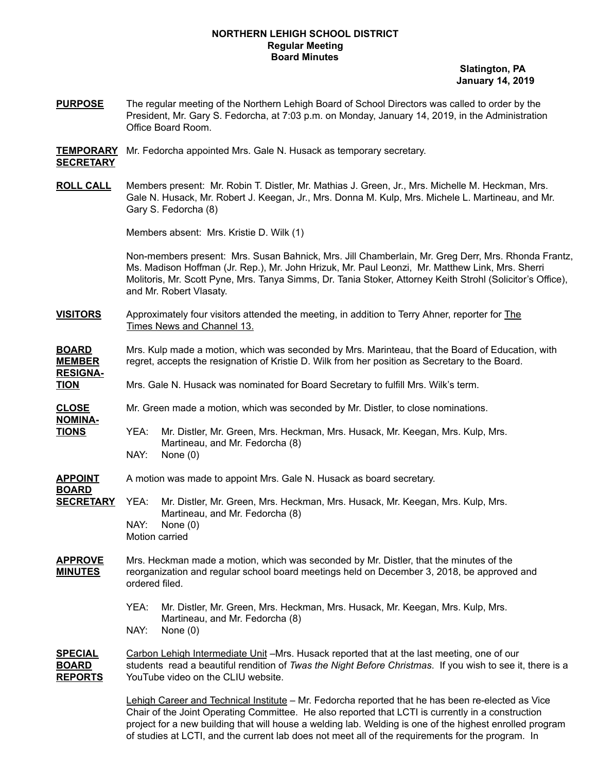#### **NORTHERN LEHIGH SCHOOL DISTRICT Regular Meeting Board Minutes**

**Slatington, PA January 14, 2019**

- **PURPOSE** The regular meeting of the Northern Lehigh Board of School Directors was called to order by the President, Mr. Gary S. Fedorcha, at 7:03 p.m. on Monday, January 14, 2019, in the Administration Office Board Room.
- **TEMPORARY** Mr. Fedorcha appointed Mrs. Gale N. Husack as temporary secretary. **SECRETARY**
- **ROLL CALL** Members present: Mr. Robin T. Distler, Mr. Mathias J. Green, Jr., Mrs. Michelle M. Heckman, Mrs. Gale N. Husack, Mr. Robert J. Keegan, Jr., Mrs. Donna M. Kulp, Mrs. Michele L. Martineau, and Mr. Gary S. Fedorcha (8)

Members absent: Mrs. Kristie D. Wilk (1)

Non-members present: Mrs. Susan Bahnick, Mrs. Jill Chamberlain, Mr. Greg Derr, Mrs. Rhonda Frantz, Ms. Madison Hoffman (Jr. Rep.), Mr. John Hrizuk, Mr. Paul Leonzi, Mr. Matthew Link, Mrs. Sherri Molitoris, Mr. Scott Pyne, Mrs. Tanya Simms, Dr. Tania Stoker, Attorney Keith Strohl (Solicitor's Office), and Mr. Robert Vlasaty.

- **VISITORS** Approximately four visitors attended the meeting, in addition to Terry Ahner, reporter for The Times News and Channel 13.
- **BOARD** Mrs. Kulp made a motion, which was seconded by Mrs. Marinteau, that the Board of Education, with **MEMBER** regret, accepts the resignation of Kristie D. Wilk from her position as Secretary to the Board. **RESIGNA-TION** Mrs. Gale N. Husack was nominated for Board Secretary to fulfill Mrs. Wilk's term. **CLOSE** Mr. Green made a motion, which was seconded by Mr. Distler, to close nominations. **NOMINA-TIONS** YEA: Mr. Distler, Mr. Green, Mrs. Heckman, Mrs. Husack, Mr. Keegan, Mrs. Kulp, Mrs. Martineau, and Mr. Fedorcha (8) NAY: None (0) **APPOINT** A motion was made to appoint Mrs. Gale N. Husack as board secretary. **BOARD SECRETARY** YEA: Mr. Distler, Mr. Green, Mrs. Heckman, Mrs. Husack, Mr. Keegan, Mrs. Kulp, Mrs. Martineau, and Mr. Fedorcha (8) NAY: None (0) Motion carried **APPROVE** Mrs. Heckman made a motion, which was seconded by Mr. Distler, that the minutes of the **MINUTES** reorganization and regular school board meetings held on December 3, 2018, be approved and ordered filed. YEA: Mr. Distler, Mr. Green, Mrs. Heckman, Mrs. Husack, Mr. Keegan, Mrs. Kulp, Mrs. Martineau, and Mr. Fedorcha (8)
	- NAY: None (0)

**SPECIAL** Carbon Lehigh Intermediate Unit –Mrs. Husack reported that at the last meeting, one of our **BOARD** students read a beautiful rendition of *Twas the Night Before Christmas*. If you wish to see it, there is a **REPORTS** YouTube video on the CLIU website.

> Lehigh Career and Technical Institute - Mr. Fedorcha reported that he has been re-elected as Vice Chair of the Joint Operating Committee. He also reported that LCTI is currently in a construction project for a new building that will house a welding lab. Welding is one of the highest enrolled program of studies at LCTI, and the current lab does not meet all of the requirements for the program. In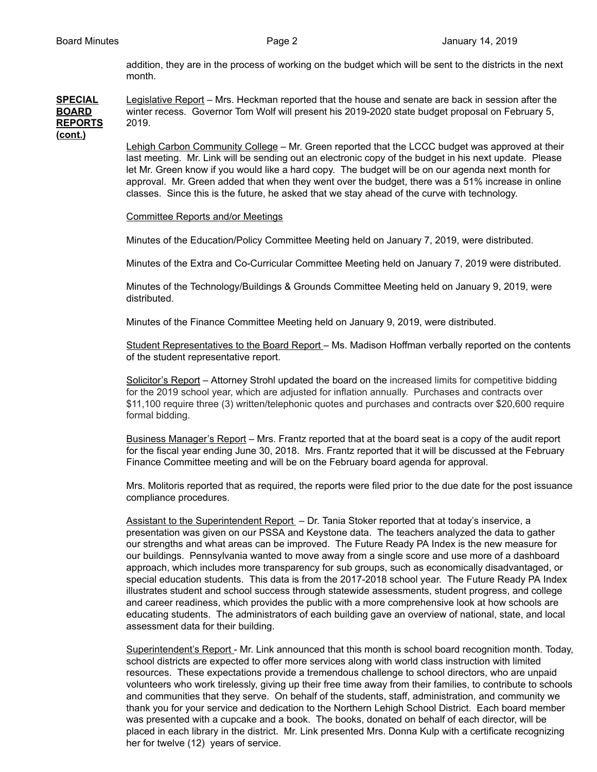addition, they are in the process of working on the budget which will be sent to the districts in the next month.

### **SPECIAL** Legislative Report – Mrs. Heckman reported that the house and senate are back in session after the **BOARD** winter recess. Governor Tom Wolf will present his 2019-2020 state budget proposal on February 5, **REPORTS** 2019. **(cont.)**

Lehigh Carbon Community College – Mr. Green reported that the LCCC budget was approved at their last meeting. Mr. Link will be sending out an electronic copy of the budget in his next update. Please let Mr. Green know if you would like a hard copy. The budget will be on our agenda next month for approval. Mr. Green added that when they went over the budget, there was a 51% increase in online classes. Since this is the future, he asked that we stay ahead of the curve with technology.

### Committee Reports and/or Meetings

Minutes of the Education/Policy Committee Meeting held on January 7, 2019, were distributed.

Minutes of the Extra and Co-Curricular Committee Meeting held on January 7, 2019 were distributed.

Minutes of the Technology/Buildings & Grounds Committee Meeting held on January 9, 2019, were distributed.

Minutes of the Finance Committee Meeting held on January 9, 2019, were distributed.

Student Representatives to the Board Report – Ms. Madison Hoffman verbally reported on the contents of the student representative report.

Solicitor's Report – Attorney Strohl updated the board on the increased limits for competitive bidding for the 2019 school year, which are adjusted for inflation annually. Purchases and contracts over \$11,100 require three (3) written/telephonic quotes and purchases and contracts over \$20,600 require formal bidding.

Business Manager's Report – Mrs. Frantz reported that at the board seat is a copy of the audit report for the fiscal year ending June 30, 2018. Mrs. Frantz reported that it will be discussed at the February Finance Committee meeting and will be on the February board agenda for approval.

Mrs. Molitoris reported that as required, the reports were filed prior to the due date for the post issuance compliance procedures.

Assistant to the Superintendent Report – Dr. Tania Stoker reported that at today's inservice, a presentation was given on our PSSA and Keystone data. The teachers analyzed the data to gather our strengths and what areas can be improved. The Future Ready PA Index is the new measure for our buildings. Pennsylvania wanted to move away from a single score and use more of a dashboard approach, which includes more transparency for sub groups, such as economically disadvantaged, or special education students. This data is from the 2017-2018 school year. The Future Ready PA Index illustrates student and school success through statewide assessments, student progress, and college and career readiness, which provides the public with a more comprehensive look at how schools are educating students. The administrators of each building gave an overview of national, state, and local assessment data for their building.

Superintendent's Report - Mr. Link announced that this month is school board recognition month. Today, school districts are expected to offer more services along with world class instruction with limited resources. These expectations provide a tremendous challenge to school directors, who are unpaid volunteers who work tirelessly, giving up their free time away from their families, to contribute to schools and communities that they serve. On behalf of the students, staff, administration, and community we thank you for your service and dedication to the Northern Lehigh School District. Each board member was presented with a cupcake and a book. The books, donated on behalf of each director, will be placed in each library in the district. Mr. Link presented Mrs. Donna Kulp with a certificate recognizing her for twelve (12) years of service.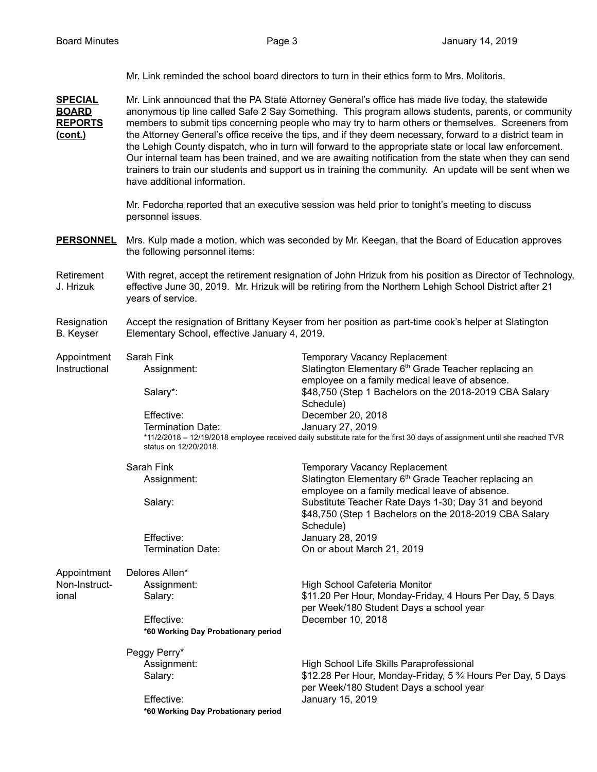Mr. Link reminded the school board directors to turn in their ethics form to Mrs. Molitoris.

**SPECIAL** Mr. Link announced that the PA State Attorney General's office has made live today, the statewide **BOARD** anonymous tip line called Safe 2 Say Something. This program allows students, parents, or community **REPORTS** members to submit tips concerning people who may try to harm others or themselves. Screeners from **(cont.)** the Attorney General's office receive the tips, and if they deem necessary, forward to a district team in the Lehigh County dispatch, who in turn will forward to the appropriate state or local law enforcement. Our internal team has been trained, and we are awaiting notification from the state when they can send trainers to train our students and support us in training the community. An update will be sent when we have additional information.

> Mr. Fedorcha reported that an executive session was held prior to tonight's meeting to discuss personnel issues.

- **PERSONNEL** Mrs. Kulp made a motion, which was seconded by Mr. Keegan, that the Board of Education approves the following personnel items:
- Retirement With regret, accept the retirement resignation of John Hrizuk from his position as Director of Technology, J. Hrizuk effective June 30, 2019. Mr. Hrizuk will be retiring from the Northern Lehigh School District after 21 years of service.
- Resignation Accept the resignation of Brittany Keyser from her position as part-time cook's helper at Slatington B. Keyser Elementary School, effective January 4, 2019.
- Appointment Sarah Fink Temporary Vacancy Replacement Instructional Assignment: Slatington Elementary 6<sup>th</sup> Grade Teacher replacing an employee on a family medical leave of absence. Salary\*: **\$48,750** (Step 1 Bachelors on the 2018-2019 CBA Salary Schedule) Effective: December 20, 2018 Termination Date: January 27, 2019 \*11/2/2018 – 12/19/2018 employee received daily substitute rate for the first 30 days of assignment until she reached TVR status on 12/20/2018. Sarah Fink Temporary Vacancy Replacement Assignment: Slatington Elementary 6 th Grade Teacher replacing an employee on a family medical leave of absence. Salary: Substitute Teacher Rate Days 1-30; Day 31 and beyond \$48,750 (Step 1 Bachelors on the 2018-2019 CBA Salary Schedule) Effective: January 28, 2019 Termination Date: On or about March 21, 2019 Appointment Delores Allen\* Non-Instruct- Assignment: High School Cafeteria Monitor ional Salary: \$11.20 Per Hour, Monday-Friday, 4 Hours Per Day, 5 Days per Week/180 Student Days a school year Effective: December 10, 2018 **\*60 Working Day Probationary period** Peggy Perry\* Assignment: High School Life Skills Paraprofessional Salary: **\$12.28 Per Hour, Monday-Friday, 5 % Hours Per Day, 5 Days** per Week/180 Student Days a school year Effective: January 15, 2019

**\*60 Working Day Probationary period**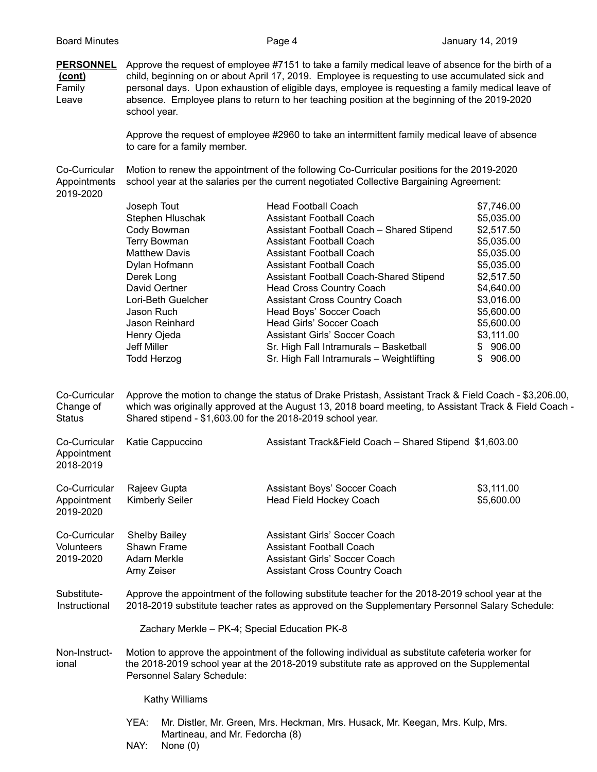**PERSONNEL** Approve the request of employee #7151 to take a family medical leave of absence for the birth of a **(cont)** child, beginning on or about April 17, 2019. Employee is requesting to use accumulated sick and Family personal days. Upon exhaustion of eligible days, employee is requesting a family medical leave of Leave absence. Employee plans to return to her teaching position at the beginning of the 2019-2020 school year.

> Approve the request of employee #2960 to take an intermittent family medical leave of absence to care for a family member.

Co-Curricular Motion to renew the appointment of the following Co-Curricular positions for the 2019-2020 Appointments school year at the salaries per the current negotiated Collective Bargaining Agreement: 2019-2020

| Joseph Tout          | <b>Head Football Coach</b>                | \$7,746.00    |
|----------------------|-------------------------------------------|---------------|
| Stephen Hluschak     | <b>Assistant Football Coach</b>           | \$5,035.00    |
| Cody Bowman          | Assistant Football Coach - Shared Stipend | \$2,517.50    |
| <b>Terry Bowman</b>  | Assistant Football Coach                  | \$5,035.00    |
| <b>Matthew Davis</b> | Assistant Football Coach                  | \$5,035.00    |
| Dylan Hofmann        | Assistant Football Coach                  | \$5,035.00    |
| Derek Long           | Assistant Football Coach-Shared Stipend   | \$2,517.50    |
| David Oertner        | <b>Head Cross Country Coach</b>           | \$4,640.00    |
| Lori-Beth Guelcher   | <b>Assistant Cross Country Coach</b>      | \$3,016.00    |
| Jason Ruch           | Head Boys' Soccer Coach                   | \$5,600.00    |
| Jason Reinhard       | Head Girls' Soccer Coach                  | \$5,600.00    |
| Henry Ojeda          | Assistant Girls' Soccer Coach             | \$3,111.00    |
| Jeff Miller          | Sr. High Fall Intramurals - Basketball    | \$906.00      |
| Todd Herzog          | Sr. High Fall Intramurals - Weightlifting | 906.00<br>\$. |
|                      |                                           |               |

Co-Curricular Approve the motion to change the status of Drake Pristash, Assistant Track & Field Coach - \$3,206.00, Change of which was originally approved at the August 13, 2018 board meeting, to Assistant Track & Field Coach - Status Shared stipend - \$1,603.00 for the 2018-2019 school year.

| Co-Curricular<br>Appointment<br>2018-2019       | Katie Cappuccino                                                 | Assistant Track&Field Coach - Shared Stipend \$1,603.00                                                                            |                          |
|-------------------------------------------------|------------------------------------------------------------------|------------------------------------------------------------------------------------------------------------------------------------|--------------------------|
| Co-Curricular<br>Appointment<br>2019-2020       | Rajeev Gupta<br><b>Kimberly Seiler</b>                           | Assistant Boys' Soccer Coach<br>Head Field Hockey Coach                                                                            | \$3,111.00<br>\$5,600.00 |
| Co-Curricular<br><b>Volunteers</b><br>2019-2020 | <b>Shelby Bailey</b><br>Shawn Frame<br>Adam Merkle<br>Amy Zeiser | Assistant Girls' Soccer Coach<br>Assistant Football Coach<br>Assistant Girls' Soccer Coach<br><b>Assistant Cross Country Coach</b> |                          |

Substitute- Approve the appointment of the following substitute teacher for the 2018-2019 school year at the Instructional 2018-2019 substitute teacher rates as approved on the Supplementary Personnel Salary Schedule:

Zachary Merkle – PK-4; Special Education PK-8

Non-Instruct- Motion to approve the appointment of the following individual as substitute cafeteria worker for ional the 2018-2019 school year at the 2018-2019 substitute rate as approved on the Supplemental Personnel Salary Schedule:

Kathy Williams

- YEA: Mr. Distler, Mr. Green, Mrs. Heckman, Mrs. Husack, Mr. Keegan, Mrs. Kulp, Mrs. Martineau, and Mr. Fedorcha (8)
- NAY: None (0)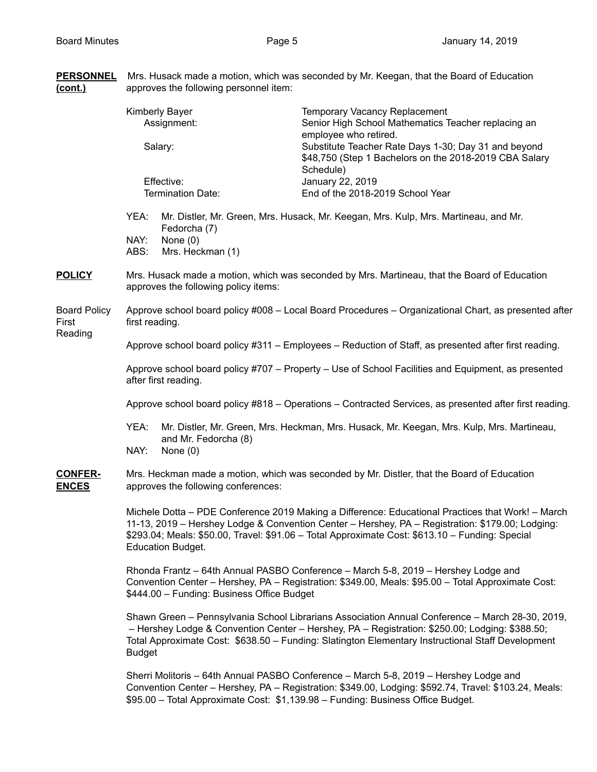| <b>PERSONNEL</b><br><u>(cont.)</u>      | Mrs. Husack made a motion, which was seconded by Mr. Keegan, that the Board of Education<br>approves the following personnel item:                                                                                                                                                                                                   |                                                |                                                                                                                                                                                                                                                                                                        |  |  |
|-----------------------------------------|--------------------------------------------------------------------------------------------------------------------------------------------------------------------------------------------------------------------------------------------------------------------------------------------------------------------------------------|------------------------------------------------|--------------------------------------------------------------------------------------------------------------------------------------------------------------------------------------------------------------------------------------------------------------------------------------------------------|--|--|
|                                         | <b>Kimberly Bayer</b><br>Assignment:<br>Salary:                                                                                                                                                                                                                                                                                      |                                                | Temporary Vacancy Replacement<br>Senior High School Mathematics Teacher replacing an<br>employee who retired.<br>Substitute Teacher Rate Days 1-30; Day 31 and beyond                                                                                                                                  |  |  |
|                                         | Effective:<br>Termination Date:                                                                                                                                                                                                                                                                                                      |                                                | \$48,750 (Step 1 Bachelors on the 2018-2019 CBA Salary<br>Schedule)<br>January 22, 2019<br>End of the 2018-2019 School Year                                                                                                                                                                            |  |  |
|                                         | YEA:<br>NAY:<br>ABS:                                                                                                                                                                                                                                                                                                                 | Fedorcha (7)<br>None $(0)$<br>Mrs. Heckman (1) | Mr. Distler, Mr. Green, Mrs. Husack, Mr. Keegan, Mrs. Kulp, Mrs. Martineau, and Mr.                                                                                                                                                                                                                    |  |  |
| <b>POLICY</b>                           | Mrs. Husack made a motion, which was seconded by Mrs. Martineau, that the Board of Education<br>approves the following policy items:                                                                                                                                                                                                 |                                                |                                                                                                                                                                                                                                                                                                        |  |  |
| <b>Board Policy</b><br>First<br>Reading | Approve school board policy #008 - Local Board Procedures - Organizational Chart, as presented after<br>first reading.                                                                                                                                                                                                               |                                                |                                                                                                                                                                                                                                                                                                        |  |  |
|                                         | Approve school board policy #311 – Employees – Reduction of Staff, as presented after first reading.                                                                                                                                                                                                                                 |                                                |                                                                                                                                                                                                                                                                                                        |  |  |
|                                         | Approve school board policy #707 – Property – Use of School Facilities and Equipment, as presented<br>after first reading.                                                                                                                                                                                                           |                                                |                                                                                                                                                                                                                                                                                                        |  |  |
|                                         | Approve school board policy #818 - Operations - Contracted Services, as presented after first reading.                                                                                                                                                                                                                               |                                                |                                                                                                                                                                                                                                                                                                        |  |  |
|                                         | YEA:<br>Mr. Distler, Mr. Green, Mrs. Heckman, Mrs. Husack, Mr. Keegan, Mrs. Kulp, Mrs. Martineau,<br>and Mr. Fedorcha (8)<br>NAY:<br>None $(0)$                                                                                                                                                                                      |                                                |                                                                                                                                                                                                                                                                                                        |  |  |
| <b>CONFER-</b><br><b>ENCES</b>          | Mrs. Heckman made a motion, which was seconded by Mr. Distler, that the Board of Education<br>approves the following conferences:                                                                                                                                                                                                    |                                                |                                                                                                                                                                                                                                                                                                        |  |  |
|                                         | Michele Dotta - PDE Conference 2019 Making a Difference: Educational Practices that Work! - March<br>11-13, 2019 - Hershey Lodge & Convention Center - Hershey, PA - Registration: \$179.00; Lodging:<br>\$293.04; Meals: \$50.00, Travel: \$91.06 - Total Approximate Cost: \$613.10 - Funding: Special<br><b>Education Budget.</b> |                                                |                                                                                                                                                                                                                                                                                                        |  |  |
|                                         | Rhonda Frantz - 64th Annual PASBO Conference - March 5-8, 2019 - Hershey Lodge and<br>Convention Center - Hershey, PA - Registration: \$349.00, Meals: \$95.00 - Total Approximate Cost:<br>\$444.00 - Funding: Business Office Budget                                                                                               |                                                |                                                                                                                                                                                                                                                                                                        |  |  |
|                                         | <b>Budget</b>                                                                                                                                                                                                                                                                                                                        |                                                | Shawn Green - Pennsylvania School Librarians Association Annual Conference - March 28-30, 2019,<br>- Hershey Lodge & Convention Center - Hershey, PA - Registration: \$250.00; Lodging: \$388.50;<br>Total Approximate Cost: \$638.50 - Funding: Slatington Elementary Instructional Staff Development |  |  |
|                                         |                                                                                                                                                                                                                                                                                                                                      |                                                | Sherri Molitoris - 64th Annual PASBO Conference - March 5-8, 2019 - Hershey Lodge and<br>Convention Center - Hershey, PA - Registration: \$349.00, Lodging: \$592.74, Travel: \$103.24, Meals:<br>\$95.00 - Total Approximate Cost: \$1,139.98 - Funding: Business Office Budget.                      |  |  |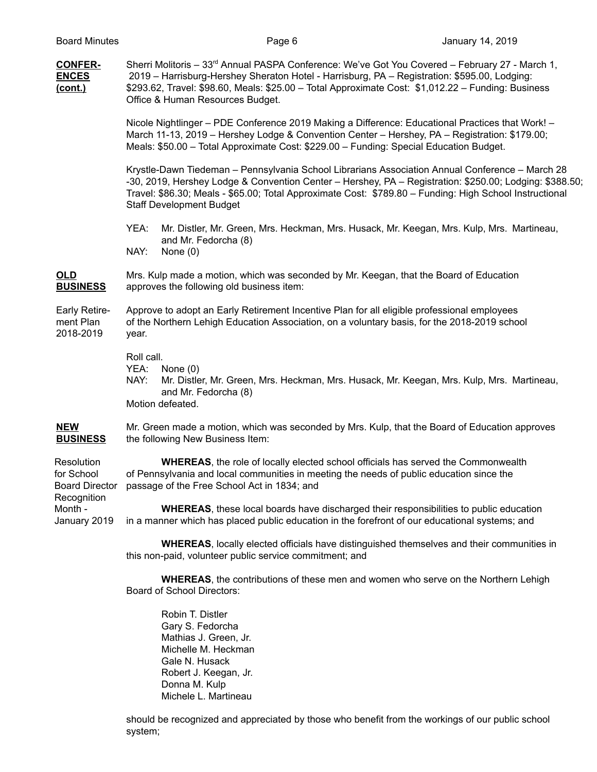| <b>CONFER-</b><br><b>ENCES</b><br>(cont.)                        | Sherri Molitoris - 33 <sup>rd</sup> Annual PASPA Conference: We've Got You Covered - February 27 - March 1,<br>2019 - Harrisburg-Hershey Sheraton Hotel - Harrisburg, PA - Registration: \$595.00, Lodging:<br>\$293.62, Travel: \$98.60, Meals: \$25.00 - Total Approximate Cost: \$1,012.22 - Funding: Business<br>Office & Human Resources Budget.    |  |  |  |
|------------------------------------------------------------------|----------------------------------------------------------------------------------------------------------------------------------------------------------------------------------------------------------------------------------------------------------------------------------------------------------------------------------------------------------|--|--|--|
|                                                                  | Nicole Nightlinger – PDE Conference 2019 Making a Difference: Educational Practices that Work! –<br>March 11-13, 2019 - Hershey Lodge & Convention Center - Hershey, PA - Registration: \$179.00;<br>Meals: \$50.00 - Total Approximate Cost: \$229.00 - Funding: Special Education Budget.                                                              |  |  |  |
|                                                                  | Krystle-Dawn Tiedeman - Pennsylvania School Librarians Association Annual Conference - March 28<br>-30, 2019, Hershey Lodge & Convention Center - Hershey, PA - Registration: \$250.00; Lodging: \$388.50;<br>Travel: \$86.30; Meals - \$65.00; Total Approximate Cost: \$789.80 - Funding: High School Instructional<br><b>Staff Development Budget</b> |  |  |  |
|                                                                  | Mr. Distler, Mr. Green, Mrs. Heckman, Mrs. Husack, Mr. Keegan, Mrs. Kulp, Mrs. Martineau,<br>YEA:<br>and Mr. Fedorcha (8)<br>NAY:<br>None $(0)$                                                                                                                                                                                                          |  |  |  |
| <b>OLD</b><br><b>BUSINESS</b>                                    | Mrs. Kulp made a motion, which was seconded by Mr. Keegan, that the Board of Education<br>approves the following old business item:                                                                                                                                                                                                                      |  |  |  |
| Early Retire-<br>ment Plan<br>2018-2019                          | Approve to adopt an Early Retirement Incentive Plan for all eligible professional employees<br>of the Northern Lehigh Education Association, on a voluntary basis, for the 2018-2019 school<br>year.                                                                                                                                                     |  |  |  |
|                                                                  | Roll call.<br>YEA:<br>None $(0)$<br>NAY:<br>Mr. Distler, Mr. Green, Mrs. Heckman, Mrs. Husack, Mr. Keegan, Mrs. Kulp, Mrs. Martineau,<br>and Mr. Fedorcha (8)<br>Motion defeated.                                                                                                                                                                        |  |  |  |
| <b>NEW</b><br><b>BUSINESS</b>                                    | Mr. Green made a motion, which was seconded by Mrs. Kulp, that the Board of Education approves<br>the following New Business Item:                                                                                                                                                                                                                       |  |  |  |
| Resolution<br>for School<br><b>Board Director</b><br>Recognition | WHEREAS, the role of locally elected school officials has served the Commonwealth<br>of Pennsylvania and local communities in meeting the needs of public education since the<br>passage of the Free School Act in 1834; and                                                                                                                             |  |  |  |
| Month -<br>January 2019                                          | <b>WHEREAS</b> , these local boards have discharged their responsibilities to public education<br>in a manner which has placed public education in the forefront of our educational systems; and                                                                                                                                                         |  |  |  |
|                                                                  | <b>WHEREAS, locally elected officials have distinguished themselves and their communities in</b><br>this non-paid, volunteer public service commitment; and                                                                                                                                                                                              |  |  |  |
|                                                                  | <b>WHEREAS</b> , the contributions of these men and women who serve on the Northern Lehigh<br><b>Board of School Directors:</b>                                                                                                                                                                                                                          |  |  |  |
|                                                                  | Robin T. Distler<br>Gary S. Fedorcha                                                                                                                                                                                                                                                                                                                     |  |  |  |

Gary S. Fedorcha Mathias J. Green, Jr. Michelle M. Heckman Gale N. Husack Robert J. Keegan, Jr. Donna M. Kulp Michele L. Martineau

should be recognized and appreciated by those who benefit from the workings of our public school system;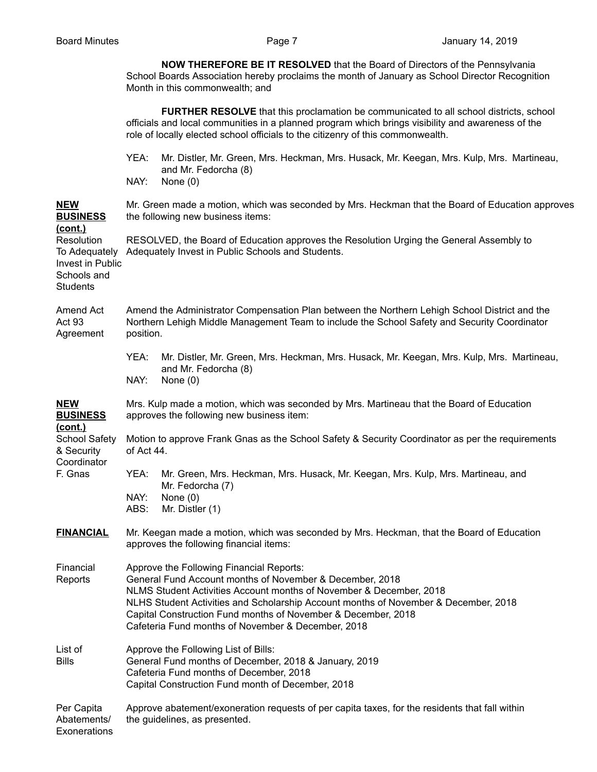**NOW THEREFORE BE IT RESOLVED** that the Board of Directors of the Pennsylvania School Boards Association hereby proclaims the month of January as School Director Recognition Month in this commonwealth; and

|                                                                                                     | <b>FURTHER RESOLVE</b> that this proclamation be communicated to all school districts, school<br>officials and local communities in a planned program which brings visibility and awareness of the<br>role of locally elected school officials to the citizenry of this commonwealth.                                                                                                     |                                                                                                                                                                                               |  |  |
|-----------------------------------------------------------------------------------------------------|-------------------------------------------------------------------------------------------------------------------------------------------------------------------------------------------------------------------------------------------------------------------------------------------------------------------------------------------------------------------------------------------|-----------------------------------------------------------------------------------------------------------------------------------------------------------------------------------------------|--|--|
|                                                                                                     | YEA:<br>NAY:                                                                                                                                                                                                                                                                                                                                                                              | Mr. Distler, Mr. Green, Mrs. Heckman, Mrs. Husack, Mr. Keegan, Mrs. Kulp, Mrs. Martineau,<br>and Mr. Fedorcha (8)<br>None $(0)$                                                               |  |  |
| <b>NEW</b><br><b>BUSINESS</b>                                                                       | Mr. Green made a motion, which was seconded by Mrs. Heckman that the Board of Education approves<br>the following new business items:                                                                                                                                                                                                                                                     |                                                                                                                                                                                               |  |  |
| <u>(cont.)</u><br>Resolution<br>To Adequately<br>Invest in Public<br>Schools and<br><b>Students</b> |                                                                                                                                                                                                                                                                                                                                                                                           | RESOLVED, the Board of Education approves the Resolution Urging the General Assembly to<br>Adequately Invest in Public Schools and Students.                                                  |  |  |
| Amend Act<br><b>Act 93</b><br>Agreement                                                             | position.                                                                                                                                                                                                                                                                                                                                                                                 | Amend the Administrator Compensation Plan between the Northern Lehigh School District and the<br>Northern Lehigh Middle Management Team to include the School Safety and Security Coordinator |  |  |
|                                                                                                     | YEA:<br>NAY:                                                                                                                                                                                                                                                                                                                                                                              | Mr. Distler, Mr. Green, Mrs. Heckman, Mrs. Husack, Mr. Keegan, Mrs. Kulp, Mrs. Martineau,<br>and Mr. Fedorcha (8)<br>None $(0)$                                                               |  |  |
| <u>NEW</u><br><b>BUSINESS</b>                                                                       | Mrs. Kulp made a motion, which was seconded by Mrs. Martineau that the Board of Education<br>approves the following new business item:                                                                                                                                                                                                                                                    |                                                                                                                                                                                               |  |  |
| (cont.)<br><b>School Safety</b><br>& Security                                                       | of Act 44.                                                                                                                                                                                                                                                                                                                                                                                | Motion to approve Frank Gnas as the School Safety & Security Coordinator as per the requirements                                                                                              |  |  |
| Coordinator<br>F. Gnas                                                                              | YEA:<br>NAY:<br>ABS:                                                                                                                                                                                                                                                                                                                                                                      | Mr. Green, Mrs. Heckman, Mrs. Husack, Mr. Keegan, Mrs. Kulp, Mrs. Martineau, and<br>Mr. Fedorcha (7)<br>None $(0)$<br>Mr. Distler (1)                                                         |  |  |
| <b>FINANCIAL</b><br>approves the following financial items:                                         |                                                                                                                                                                                                                                                                                                                                                                                           | Mr. Keegan made a motion, which was seconded by Mrs. Heckman, that the Board of Education                                                                                                     |  |  |
| Financial<br>Reports                                                                                | Approve the Following Financial Reports:<br>General Fund Account months of November & December, 2018<br>NLMS Student Activities Account months of November & December, 2018<br>NLHS Student Activities and Scholarship Account months of November & December, 2018<br>Capital Construction Fund months of November & December, 2018<br>Cafeteria Fund months of November & December, 2018 |                                                                                                                                                                                               |  |  |
| List of<br><b>Bills</b>                                                                             | Approve the Following List of Bills:<br>General Fund months of December, 2018 & January, 2019<br>Cafeteria Fund months of December, 2018<br>Capital Construction Fund month of December, 2018                                                                                                                                                                                             |                                                                                                                                                                                               |  |  |
| Per Capita<br>Abatements/<br>Exonerations                                                           | Approve abatement/exoneration requests of per capita taxes, for the residents that fall within<br>the guidelines, as presented.                                                                                                                                                                                                                                                           |                                                                                                                                                                                               |  |  |